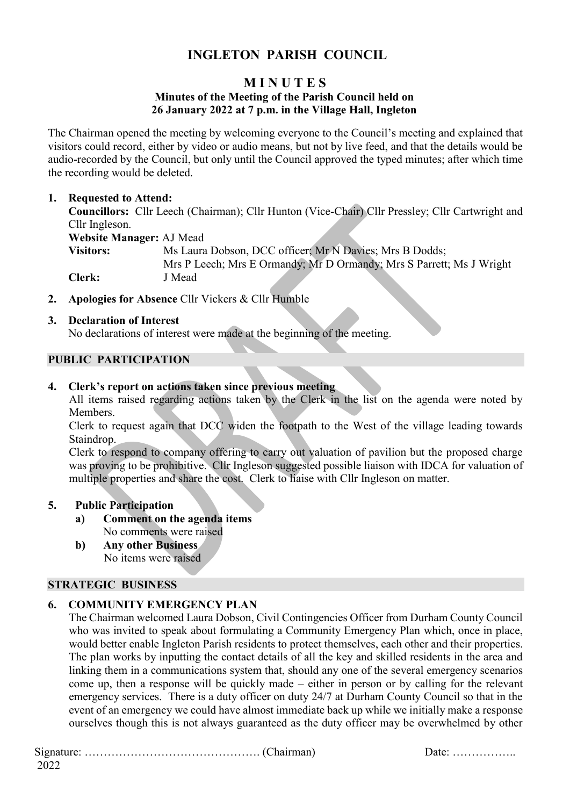## **INGLETON PARISH COUNCIL**

# **M I N U T E S**

### **Minutes of the Meeting of the Parish Council held on 26 January 2022 at 7 p.m. in the Village Hall, Ingleton**

The Chairman opened the meeting by welcoming everyone to the Council's meeting and explained that visitors could record, either by video or audio means, but not by live feed, and that the details would be audio-recorded by the Council, but only until the Council approved the typed minutes; after which time the recording would be deleted.

## **1. Requested to Attend:**

**Councillors:** Cllr Leech (Chairman); Cllr Hunton (Vice-Chair) Cllr Pressley; Cllr Cartwright and Cllr Ingleson. **Website Manager:** AJ Mead **Visitors:** Ms Laura Dobson, DCC officer; Mr N Davies; Mrs B Dodds; Mrs P Leech; Mrs E Ormandy; Mr D Ormandy; Mrs S Parrett; Ms J Wright **Clerk:** J Mead

**2. Apologies for Absence** Cllr Vickers & Cllr Humble

## **3. Declaration of Interest**

No declarations of interest were made at the beginning of the meeting.

## **PUBLIC PARTICIPATION**

#### **4. Clerk's report on actions taken since previous meeting**

All items raised regarding actions taken by the Clerk in the list on the agenda were noted by Members.

Clerk to request again that DCC widen the footpath to the West of the village leading towards Staindrop.

Clerk to respond to company offering to carry out valuation of pavilion but the proposed charge was proving to be prohibitive. Cllr Ingleson suggested possible liaison with IDCA for valuation of multiple properties and share the cost. Clerk to liaise with Cllr Ingleson on matter.

#### **5. Public Participation**

- **a) Comment on the agenda items** No comments were raised
- **b) Any other Business** No items were raised

## **STRATEGIC BUSINESS**

## **6. COMMUNITY EMERGENCY PLAN**

The Chairman welcomed Laura Dobson, Civil Contingencies Officer from Durham County Council who was invited to speak about formulating a Community Emergency Plan which, once in place, would better enable Ingleton Parish residents to protect themselves, each other and their properties. The plan works by inputting the contact details of all the key and skilled residents in the area and linking them in a communications system that, should any one of the several emergency scenarios come up, then a response will be quickly made – either in person or by calling for the relevant emergency services. There is a duty officer on duty 24/7 at Durham County Council so that in the event of an emergency we could have almost immediate back up while we initially make a response ourselves though this is not always guaranteed as the duty officer may be overwhelmed by other

Signature: ………………………………………. (Chairman) Date: ……………..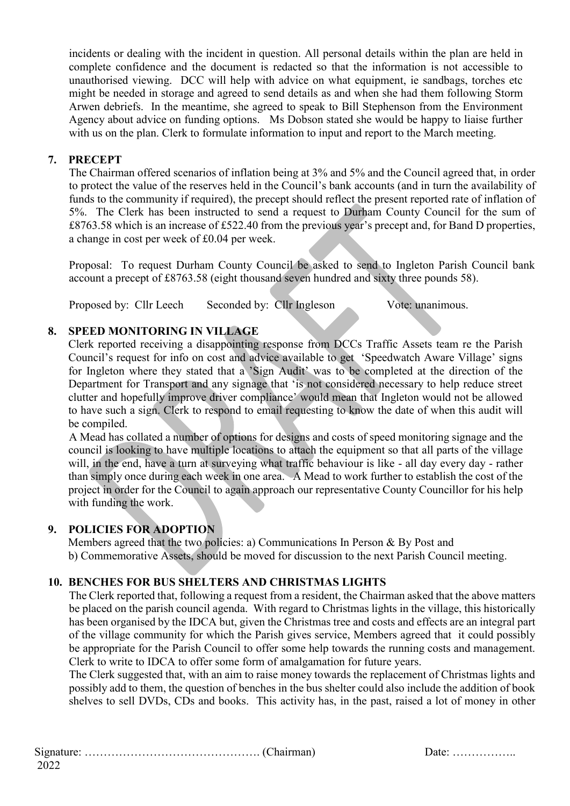incidents or dealing with the incident in question. All personal details within the plan are held in complete confidence and the document is redacted so that the information is not accessible to unauthorised viewing. DCC will help with advice on what equipment, ie sandbags, torches etc might be needed in storage and agreed to send details as and when she had them following Storm Arwen debriefs. In the meantime, she agreed to speak to Bill Stephenson from the Environment Agency about advice on funding options. Ms Dobson stated she would be happy to liaise further with us on the plan. Clerk to formulate information to input and report to the March meeting.

## **7. PRECEPT**

The Chairman offered scenarios of inflation being at 3% and 5% and the Council agreed that, in order to protect the value of the reserves held in the Council's bank accounts (and in turn the availability of funds to the community if required), the precept should reflect the present reported rate of inflation of 5%. The Clerk has been instructed to send a request to Durham County Council for the sum of £8763.58 which is an increase of £522.40 from the previous year's precept and, for Band D properties, a change in cost per week of £0.04 per week.

Proposal: To request Durham County Council be asked to send to Ingleton Parish Council bank account a precept of £8763.58 (eight thousand seven hundred and sixty three pounds 58).

Proposed by: Cllr Leech Seconded by: Cllr Ingleson Vote: unanimous.

## **8. SPEED MONITORING IN VILLAGE**

Clerk reported receiving a disappointing response from DCCs Traffic Assets team re the Parish Council's request for info on cost and advice available to get 'Speedwatch Aware Village' signs for Ingleton where they stated that a 'Sign Audit' was to be completed at the direction of the Department for Transport and any signage that 'is not considered necessary to help reduce street clutter and hopefully improve driver compliance' would mean that Ingleton would not be allowed to have such a sign. Clerk to respond to email requesting to know the date of when this audit will be compiled.

A Mead has collated a number of options for designs and costs of speed monitoring signage and the council is looking to have multiple locations to attach the equipment so that all parts of the village will, in the end, have a turn at surveying what traffic behaviour is like - all day every day - rather than simply once during each week in one area. A Mead to work further to establish the cost of the project in order for the Council to again approach our representative County Councillor for his help with funding the work.

### **9. POLICIES FOR ADOPTION**

Members agreed that the two policies: a) Communications In Person & By Post and b) Commemorative Assets, should be moved for discussion to the next Parish Council meeting.

### **10. BENCHES FOR BUS SHELTERS AND CHRISTMAS LIGHTS**

The Clerk reported that, following a request from a resident, the Chairman asked that the above matters be placed on the parish council agenda. With regard to Christmas lights in the village, this historically has been organised by the IDCA but, given the Christmas tree and costs and effects are an integral part of the village community for which the Parish gives service, Members agreed that it could possibly be appropriate for the Parish Council to offer some help towards the running costs and management. Clerk to write to IDCA to offer some form of amalgamation for future years.

The Clerk suggested that, with an aim to raise money towards the replacement of Christmas lights and possibly add to them, the question of benches in the bus shelter could also include the addition of book shelves to sell DVDs, CDs and books. This activity has, in the past, raised a lot of money in other

Signature: ………………………………………. (Chairman) Date: ……………..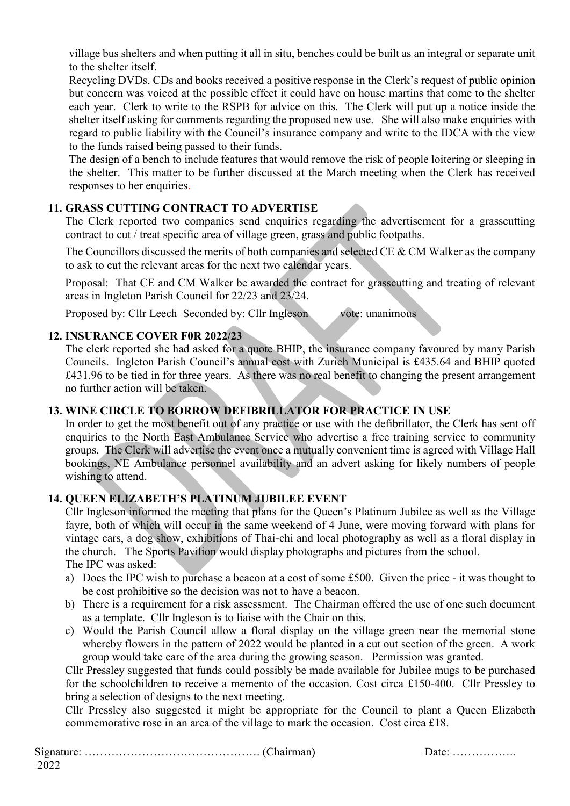village bus shelters and when putting it all in situ, benches could be built as an integral or separate unit to the shelter itself.

Recycling DVDs, CDs and books received a positive response in the Clerk's request of public opinion but concern was voiced at the possible effect it could have on house martins that come to the shelter each year. Clerk to write to the RSPB for advice on this. The Clerk will put up a notice inside the shelter itself asking for comments regarding the proposed new use. She will also make enquiries with regard to public liability with the Council's insurance company and write to the IDCA with the view to the funds raised being passed to their funds.

The design of a bench to include features that would remove the risk of people loitering or sleeping in the shelter. This matter to be further discussed at the March meeting when the Clerk has received responses to her enquiries.

## **11. GRASS CUTTING CONTRACT TO ADVERTISE**

The Clerk reported two companies send enquiries regarding the advertisement for a grasscutting contract to cut / treat specific area of village green, grass and public footpaths.

The Councillors discussed the merits of both companies and selected CE & CM Walker as the company to ask to cut the relevant areas for the next two calendar years.

Proposal: That CE and CM Walker be awarded the contract for grasscutting and treating of relevant areas in Ingleton Parish Council for 22/23 and 23/24.

Proposed by: Cllr Leech Seconded by: Cllr Ingleson vote: unanimous

## **12. INSURANCE COVER F0R 2022/23**

The clerk reported she had asked for a quote BHIP, the insurance company favoured by many Parish Councils. Ingleton Parish Council's annual cost with Zurich Municipal is £435.64 and BHIP quoted £431.96 to be tied in for three years. As there was no real benefit to changing the present arrangement no further action will be taken.

## **13. WINE CIRCLE TO BORROW DEFIBRILLATOR FOR PRACTICE IN USE**

In order to get the most benefit out of any practice or use with the defibrillator, the Clerk has sent off enquiries to the North East Ambulance Service who advertise a free training service to community groups. The Clerk will advertise the event once a mutually convenient time is agreed with Village Hall bookings, NE Ambulance personnel availability and an advert asking for likely numbers of people wishing to attend.

#### **14. QUEEN ELIZABETH'S PLATINUM JUBILEE EVENT**

Cllr Ingleson informed the meeting that plans for the Queen's Platinum Jubilee as well as the Village fayre, both of which will occur in the same weekend of 4 June, were moving forward with plans for vintage cars, a dog show, exhibitions of Thai-chi and local photography as well as a floral display in the church. The Sports Pavilion would display photographs and pictures from the school. The IPC was asked:

- a) Does the IPC wish to purchase a beacon at a cost of some £500. Given the price it was thought to be cost prohibitive so the decision was not to have a beacon.
- b) There is a requirement for a risk assessment. The Chairman offered the use of one such document as a template. Cllr Ingleson is to liaise with the Chair on this.
- c) Would the Parish Council allow a floral display on the village green near the memorial stone whereby flowers in the pattern of 2022 would be planted in a cut out section of the green. A work group would take care of the area during the growing season. Permission was granted.

Cllr Pressley suggested that funds could possibly be made available for Jubilee mugs to be purchased for the schoolchildren to receive a memento of the occasion. Cost circa £150-400. Cllr Pressley to bring a selection of designs to the next meeting.

Cllr Pressley also suggested it might be appropriate for the Council to plant a Queen Elizabeth commemorative rose in an area of the village to mark the occasion. Cost circa £18.